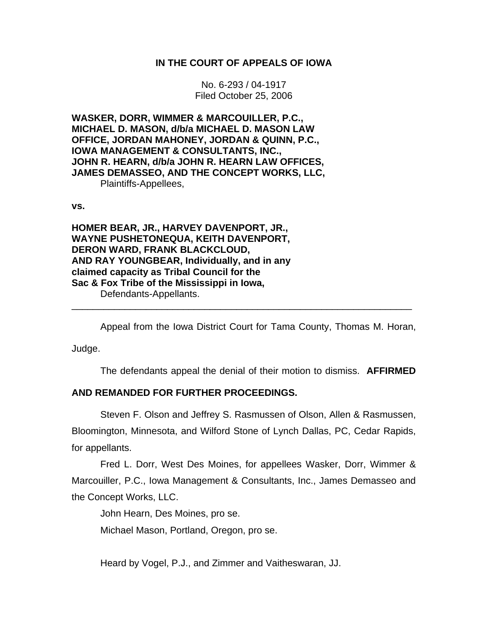# **IN THE COURT OF APPEALS OF IOWA**

No. 6-293 / 04-1917 Filed October 25, 2006

**WASKER, DORR, WIMMER & MARCOUILLER, P.C., MICHAEL D. MASON, d/b/a MICHAEL D. MASON LAW OFFICE, JORDAN MAHONEY, JORDAN & QUINN, P.C., IOWA MANAGEMENT & CONSULTANTS, INC., JOHN R. HEARN, d/b/a JOHN R. HEARN LAW OFFICES, JAMES DEMASSEO, AND THE CONCEPT WORKS, LLC,** Plaintiffs-Appellees,

**vs.** 

**HOMER BEAR, JR., HARVEY DAVENPORT, JR., WAYNE PUSHETONEQUA, KEITH DAVENPORT, DERON WARD, FRANK BLACKCLOUD, AND RAY YOUNGBEAR, Individually, and in any claimed capacity as Tribal Council for the Sac & Fox Tribe of the Mississippi in Iowa,**  Defendants-Appellants.

Appeal from the Iowa District Court for Tama County, Thomas M. Horan,

\_\_\_\_\_\_\_\_\_\_\_\_\_\_\_\_\_\_\_\_\_\_\_\_\_\_\_\_\_\_\_\_\_\_\_\_\_\_\_\_\_\_\_\_\_\_\_\_\_\_\_\_\_\_\_\_\_\_\_\_\_\_\_\_

Judge.

The defendants appeal the denial of their motion to dismiss. **AFFIRMED** 

# **AND REMANDED FOR FURTHER PROCEEDINGS.**

 Steven F. Olson and Jeffrey S. Rasmussen of Olson, Allen & Rasmussen, Bloomington, Minnesota, and Wilford Stone of Lynch Dallas, PC, Cedar Rapids, for appellants.

 Fred L. Dorr, West Des Moines, for appellees Wasker, Dorr, Wimmer & Marcouiller, P.C., Iowa Management & Consultants, Inc., James Demasseo and the Concept Works, LLC.

John Hearn, Des Moines, pro se.

Michael Mason, Portland, Oregon, pro se.

Heard by Vogel, P.J., and Zimmer and Vaitheswaran, JJ.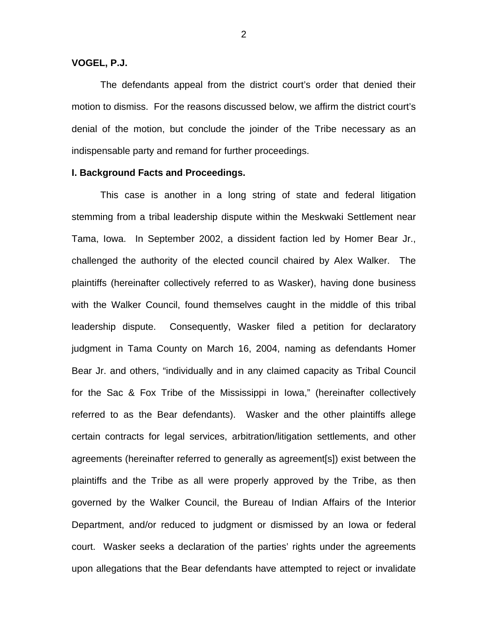### **VOGEL, P.J.**

 The defendants appeal from the district court's order that denied their motion to dismiss. For the reasons discussed below, we affirm the district court's denial of the motion, but conclude the joinder of the Tribe necessary as an indispensable party and remand for further proceedings.

# **I. Background Facts and Proceedings.**

 This case is another in a long string of state and federal litigation stemming from a tribal leadership dispute within the Meskwaki Settlement near Tama, Iowa. In September 2002, a dissident faction led by Homer Bear Jr., challenged the authority of the elected council chaired by Alex Walker. The plaintiffs (hereinafter collectively referred to as Wasker), having done business with the Walker Council, found themselves caught in the middle of this tribal leadership dispute. Consequently, Wasker filed a petition for declaratory judgment in Tama County on March 16, 2004, naming as defendants Homer Bear Jr. and others, "individually and in any claimed capacity as Tribal Council for the Sac & Fox Tribe of the Mississippi in Iowa," (hereinafter collectively referred to as the Bear defendants). Wasker and the other plaintiffs allege certain contracts for legal services, arbitration/litigation settlements, and other agreements (hereinafter referred to generally as agreement[s]) exist between the plaintiffs and the Tribe as all were properly approved by the Tribe, as then governed by the Walker Council, the Bureau of Indian Affairs of the Interior Department, and/or reduced to judgment or dismissed by an Iowa or federal court. Wasker seeks a declaration of the parties' rights under the agreements upon allegations that the Bear defendants have attempted to reject or invalidate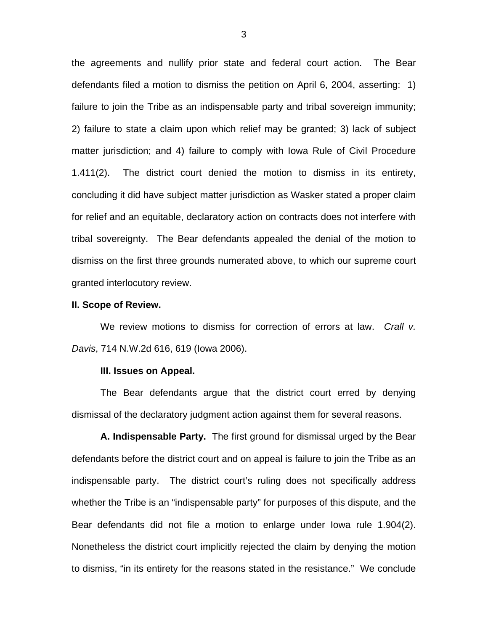the agreements and nullify prior state and federal court action. The Bear defendants filed a motion to dismiss the petition on April 6, 2004, asserting: 1) failure to join the Tribe as an indispensable party and tribal sovereign immunity; 2) failure to state a claim upon which relief may be granted; 3) lack of subject matter jurisdiction; and 4) failure to comply with Iowa Rule of Civil Procedure 1.411(2). The district court denied the motion to dismiss in its entirety, concluding it did have subject matter jurisdiction as Wasker stated a proper claim for relief and an equitable, declaratory action on contracts does not interfere with tribal sovereignty. The Bear defendants appealed the denial of the motion to dismiss on the first three grounds numerated above, to which our supreme court granted interlocutory review.

#### **II. Scope of Review.**

We review motions to dismiss for correction of errors at law. *Crall v. Davis*, 714 N.W.2d 616, 619 (Iowa 2006).

#### **III. Issues on Appeal.**

 The Bear defendants argue that the district court erred by denying dismissal of the declaratory judgment action against them for several reasons.

**A. Indispensable Party.** The first ground for dismissal urged by the Bear defendants before the district court and on appeal is failure to join the Tribe as an indispensable party. The district court's ruling does not specifically address whether the Tribe is an "indispensable party" for purposes of this dispute, and the Bear defendants did not file a motion to enlarge under Iowa rule 1.904(2). Nonetheless the district court implicitly rejected the claim by denying the motion to dismiss, "in its entirety for the reasons stated in the resistance." We conclude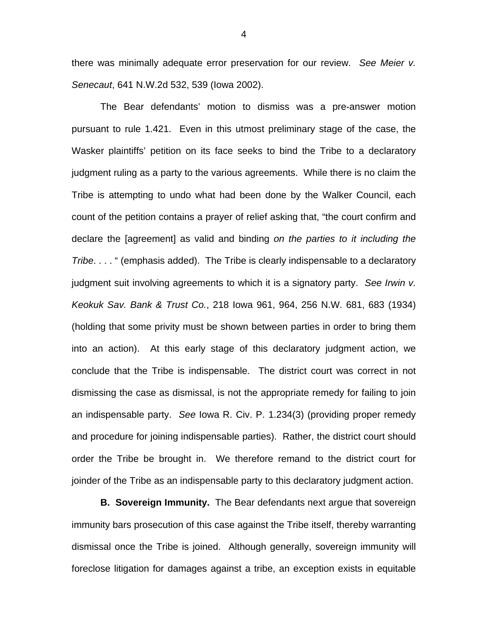there was minimally adequate error preservation for our review. *See Meier v. Senecaut*, 641 N.W.2d 532, 539 (Iowa 2002).

The Bear defendants' motion to dismiss was a pre-answer motion pursuant to rule 1.421. Even in this utmost preliminary stage of the case, the Wasker plaintiffs' petition on its face seeks to bind the Tribe to a declaratory judgment ruling as a party to the various agreements. While there is no claim the Tribe is attempting to undo what had been done by the Walker Council, each count of the petition contains a prayer of relief asking that, "the court confirm and declare the [agreement] as valid and binding *on the parties to it including the Tribe*. . . . " (emphasis added). The Tribe is clearly indispensable to a declaratory judgment suit involving agreements to which it is a signatory party. *See Irwin v. Keokuk Sav. Bank & Trust Co.*, 218 Iowa 961, 964, 256 N.W. 681, 683 (1934) (holding that some privity must be shown between parties in order to bring them into an action). At this early stage of this declaratory judgment action, we conclude that the Tribe is indispensable. The district court was correct in not dismissing the case as dismissal, is not the appropriate remedy for failing to join an indispensable party. *See* Iowa R. Civ. P. 1.234(3) (providing proper remedy and procedure for joining indispensable parties). Rather, the district court should order the Tribe be brought in. We therefore remand to the district court for joinder of the Tribe as an indispensable party to this declaratory judgment action.

**B. Sovereign Immunity.** The Bear defendants next argue that sovereign immunity bars prosecution of this case against the Tribe itself, thereby warranting dismissal once the Tribe is joined. Although generally, sovereign immunity will foreclose litigation for damages against a tribe, an exception exists in equitable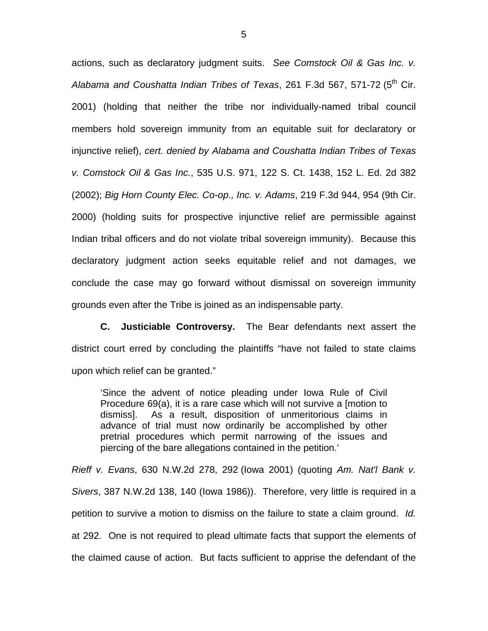actions, such as declaratory judgment suits. *See Comstock Oil & Gas Inc. v.*  Alabama and Coushatta Indian Tribes of Texas, 261 F.3d 567, 571-72 (5<sup>th</sup> Cir. 2001) (holding that neither the tribe nor individually-named tribal council members hold sovereign immunity from an equitable suit for declaratory or injunctive relief), *cert. denied by Alabama and Coushatta Indian Tribes of Texas v. Comstock Oil & Gas Inc.*, 535 U.S. 971, 122 S. Ct. 1438, 152 L. Ed. 2d 382 (2002); *Big Horn County Elec. Co-op., Inc. v. Adams*, 219 F.3d 944, 954 (9th Cir. 2000) (holding suits for prospective injunctive relief are permissible against Indian tribal officers and do not violate tribal sovereign immunity). Because this declaratory judgment action seeks equitable relief and not damages, we conclude the case may go forward without dismissal on sovereign immunity grounds even after the Tribe is joined as an indispensable party.

**C. Justiciable Controversy.** The Bear defendants next assert the district court erred by concluding the plaintiffs "have not failed to state claims upon which relief can be granted."

'Since the advent of notice pleading under Iowa Rule of Civil Procedure 69(a), it is a rare case which will not survive a [motion to dismiss]. As a result, disposition of unmeritorious claims in advance of trial must now ordinarily be accomplished by other pretrial procedures which permit narrowing of the issues and piercing of the bare allegations contained in the petition.'

*Rieff v. Evans*, 630 N.W.2d 278, 292 (Iowa 2001) (quoting *Am. Nat'l Bank v. Sivers*, 387 N.W.2d 138, 140 (Iowa 1986)). Therefore, very little is required in a petition to survive a motion to dismiss on the failure to state a claim ground. *Id.* at 292. One is not required to plead ultimate facts that support the elements of the claimed cause of action. But facts sufficient to apprise the defendant of the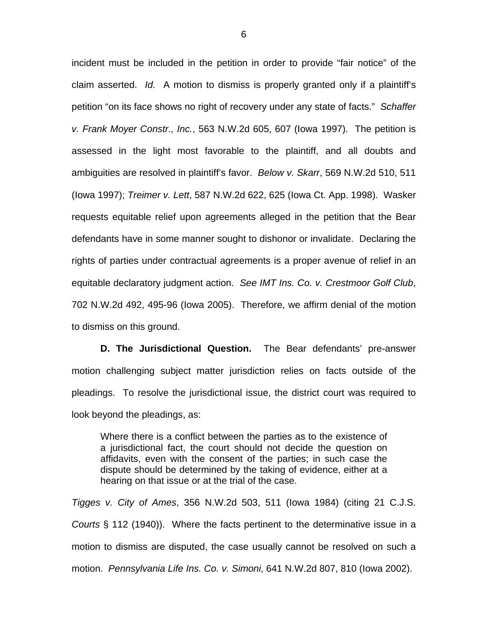incident must be included in the petition in order to provide "fair notice" of the claim asserted. *Id.* A motion to dismiss is properly granted only if a plaintiff's petition "on its face shows no right of recovery under any state of facts." *Schaffer v. Frank Moyer Constr., Inc.*, 563 N.W.2d 605, 607 (Iowa 1997). The petition is assessed in the light most favorable to the plaintiff, and all doubts and ambiguities are resolved in plaintiff's favor. *Below v. Skarr*, 569 N.W.2d 510, 511 (Iowa 1997); *Treimer v. Lett*, 587 N.W.2d 622, 625 (Iowa Ct. App. 1998). Wasker requests equitable relief upon agreements alleged in the petition that the Bear defendants have in some manner sought to dishonor or invalidate. Declaring the rights of parties under contractual agreements is a proper avenue of relief in an equitable declaratory judgment action. *See IMT Ins. Co. v. Crestmoor Golf Club*, 702 N.W.2d 492, 495-96 (Iowa 2005). Therefore, we affirm denial of the motion to dismiss on this ground.

 **D. The Jurisdictional Question.** The Bear defendants' pre-answer motion challenging subject matter jurisdiction relies on facts outside of the pleadings. To resolve the jurisdictional issue, the district court was required to look beyond the pleadings, as:

Where there is a conflict between the parties as to the existence of a jurisdictional fact, the court should not decide the question on affidavits, even with the consent of the parties; in such case the dispute should be determined by the taking of evidence, either at a hearing on that issue or at the trial of the case.

*Tigges v. City of Ames*, 356 N.W.2d 503, 511 (Iowa 1984) (citing 21 C.J.S. *Courts* § 112 (1940)). Where the facts pertinent to the determinative issue in a motion to dismiss are disputed, the case usually cannot be resolved on such a motion. *Pennsylvania Life Ins. Co. v. Simoni*, 641 N.W.2d 807, 810 (Iowa 2002).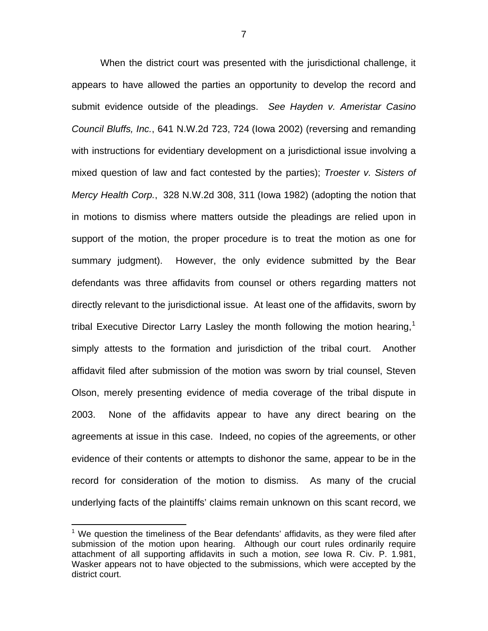When the district court was presented with the jurisdictional challenge, it appears to have allowed the parties an opportunity to develop the record and submit evidence outside of the pleadings. *See Hayden v. Ameristar Casino Council Bluffs, Inc.*, 641 N.W.2d 723, 724 (Iowa 2002) (reversing and remanding with instructions for evidentiary development on a jurisdictional issue involving a mixed question of law and fact contested by the parties); *Troester v. Sisters of Mercy Health Corp.*, 328 N.W.2d 308, 311 (Iowa 1982) (adopting the notion that in motions to dismiss where matters outside the pleadings are relied upon in support of the motion, the proper procedure is to treat the motion as one for summary judgment). However, the only evidence submitted by the Bear defendants was three affidavits from counsel or others regarding matters not directly relevant to the jurisdictional issue. At least one of the affidavits, sworn by tribal Executive Director Larry Lasley the month following the motion hearing,<sup>[1](#page-6-0)</sup> simply attests to the formation and jurisdiction of the tribal court. Another affidavit filed after submission of the motion was sworn by trial counsel, Steven Olson, merely presenting evidence of media coverage of the tribal dispute in 2003. None of the affidavits appear to have any direct bearing on the agreements at issue in this case. Indeed, no copies of the agreements, or other evidence of their contents or attempts to dishonor the same, appear to be in the record for consideration of the motion to dismiss. As many of the crucial underlying facts of the plaintiffs' claims remain unknown on this scant record, we

<span id="page-6-0"></span> $1$  We question the timeliness of the Bear defendants' affidavits, as they were filed after submission of the motion upon hearing. Although our court rules ordinarily require attachment of all supporting affidavits in such a motion, *see* Iowa R. Civ. P. 1.981, Wasker appears not to have objected to the submissions, which were accepted by the district court.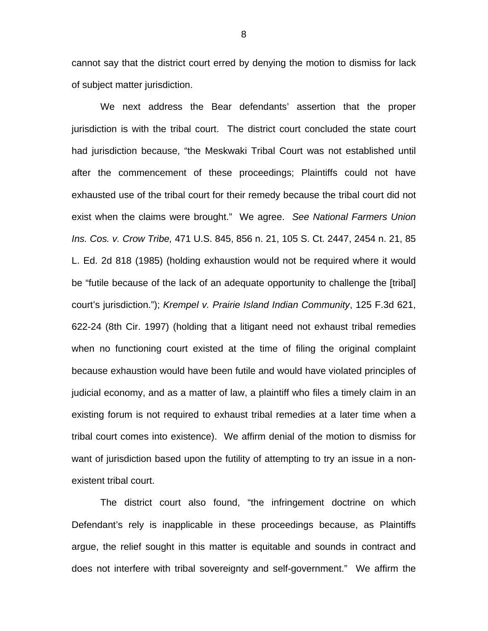cannot say that the district court erred by denying the motion to dismiss for lack of subject matter jurisdiction.

 We next address the Bear defendants' assertion that the proper jurisdiction is with the tribal court. The district court concluded the state court had jurisdiction because, "the Meskwaki Tribal Court was not established until after the commencement of these proceedings; Plaintiffs could not have exhausted use of the tribal court for their remedy because the tribal court did not exist when the claims were brought." We agree. *See National Farmers Union Ins. Cos. v. Crow Tribe,* 471 U.S. 845, 856 n. 21, 105 S. Ct. 2447, 2454 n. 21, 85 L. Ed. 2d 818 (1985) (holding exhaustion would not be required where it would be "futile because of the lack of an adequate opportunity to challenge the [tribal] court's jurisdiction."); *Krempel v. Prairie Island Indian Community*, 125 F.3d 621, 622-24 (8th Cir. 1997) (holding that a litigant need not exhaust tribal remedies when no functioning court existed at the time of filing the original complaint because exhaustion would have been futile and would have violated principles of judicial economy, and as a matter of law, a plaintiff who files a timely claim in an existing forum is not required to exhaust tribal remedies at a later time when a tribal court comes into existence). We affirm denial of the motion to dismiss for want of jurisdiction based upon the futility of attempting to try an issue in a nonexistent tribal court.

 The district court also found, "the infringement doctrine on which Defendant's rely is inapplicable in these proceedings because, as Plaintiffs argue, the relief sought in this matter is equitable and sounds in contract and does not interfere with tribal sovereignty and self-government." We affirm the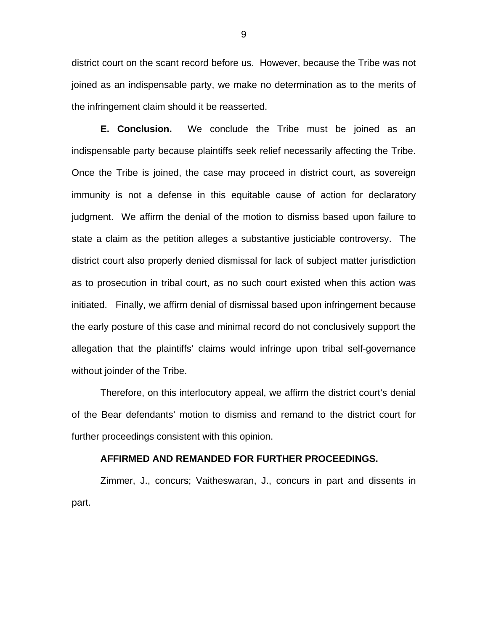district court on the scant record before us. However, because the Tribe was not joined as an indispensable party, we make no determination as to the merits of the infringement claim should it be reasserted.

**E. Conclusion.** We conclude the Tribe must be joined as an indispensable party because plaintiffs seek relief necessarily affecting the Tribe. Once the Tribe is joined, the case may proceed in district court, as sovereign immunity is not a defense in this equitable cause of action for declaratory judgment. We affirm the denial of the motion to dismiss based upon failure to state a claim as the petition alleges a substantive justiciable controversy. The district court also properly denied dismissal for lack of subject matter jurisdiction as to prosecution in tribal court, as no such court existed when this action was initiated. Finally, we affirm denial of dismissal based upon infringement because the early posture of this case and minimal record do not conclusively support the allegation that the plaintiffs' claims would infringe upon tribal self-governance without joinder of the Tribe.

 Therefore, on this interlocutory appeal, we affirm the district court's denial of the Bear defendants' motion to dismiss and remand to the district court for further proceedings consistent with this opinion.

### **AFFIRMED AND REMANDED FOR FURTHER PROCEEDINGS.**

Zimmer, J., concurs; Vaitheswaran, J., concurs in part and dissents in part.